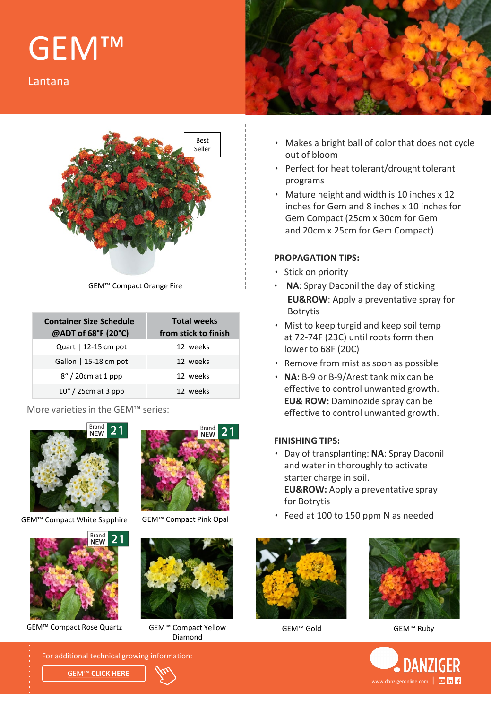# GEM™

Lantana



GEM™ Compact Orange Fire

| <b>Container Size Schedule</b><br>@ADT of 68°F (20°C) | <b>Total weeks</b><br>from stick to finish |
|-------------------------------------------------------|--------------------------------------------|
| Quart   12-15 cm pot                                  | 12 weeks                                   |
| Gallon   $15-18$ cm pot                               | 12 weeks                                   |
| $8''/20$ cm at 1 ppp                                  | 12 weeks                                   |
| $10''/25$ cm at 3 ppp                                 | 12 weeks                                   |

#### More varieties in the GEM™ series:



GEM™ Compact White Sapphire GEM™ Compact Pink Opal



GEM™ Compact Rose Quartz GEM™ Compact Yellow GEM™ Gold





Diamond



- Makes a bright ball of color that does not cycle out of bloom
- Perfect for heat tolerant/drought tolerant programs
- Mature height and width is 10 inches x 12 inches for Gem and 8 inches x 10 inches for Gem Compact (25cm x 30cm for Gem and 20cm x 25cm for Gem Compact)

#### **PROPAGATION TIPS:**

- Stick on priority
- **NA**: Spray Daconil the day of sticking **EU&ROW**: Apply a preventative spray for Botrytis
- Mist to keep turgid and keep soil temp at 72-74F (23C) until roots form then lower to 68F (20C)
- Remove from mist as soon as possible
- **NA:** B-9 or B-9/Arest tank mix can be effective to control unwanted growth. **EU& ROW:** Daminozide spray can be effective to control unwanted growth.

#### **FINISHING TIPS:**

- Day of transplanting: **NA**: Spray Daconil and water in thoroughly to activate starter charge in soil. **EU&ROW:** Apply a preventative spray for Botrytis
- Feed at 100 to 150 ppm N as needed





GEM™ Ruby



For additional technical growing information:

GEM™ **[CLICK HERE](https://www.danzigeronline.com/variety/gem-compact-orange-fire/)**